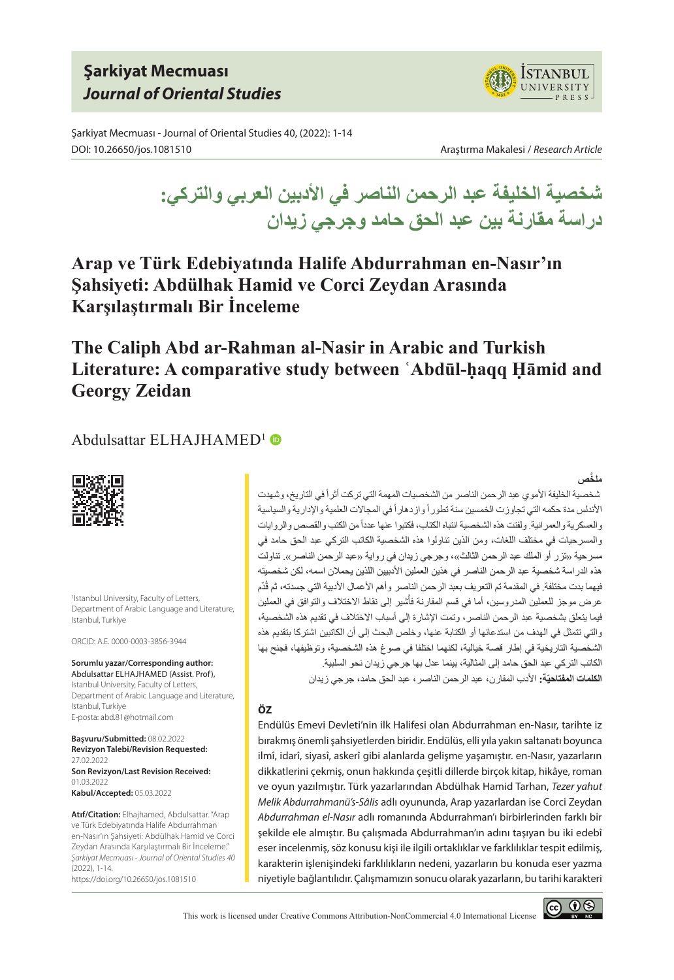# **Şarkiyat Mecmuası** *Journal of Oriental Studies*

Şarkiyat Mecmuası - Journal of Oriental Studies 40, (2022): 1-14 DOI: 10.26650/jos.1081510 Araştırma Makalesi / *Research Article*



**شخصية الخليفة عبد الرحمن الناصر في األدبين العربي والتركي: دراسة مقارنة بين عبد الحق حامد وجرجي زيدان**

**Arap ve Türk Edebiyatında Halife Abdurrahman en-Nasır'ın Şahsiyeti: Abdülhak Hamid ve Corci Zeydan Arasında Karşılaştırmalı Bir İnceleme**

# **The Caliph Abd ar-Rahman al-Nasir in Arabic and Turkish Literature: A comparative study between ʿAbdūl-ḥaqq Ḥāmid and Georgy Zeidan**

### Abdulsattar ELHAJHAMED<sup>1</sup> ®



1 Istanbul University, Faculty of Letters, Department of Arabic Language and Literature, Istanbul, Turkiye

ORCID: A.E. 0000-0003-3856-3944

**Sorumlu yazar/Corresponding author:** Abdulsattar ELHAJHAMED (Assist. Prof), Istanbul University, Faculty of Letters, Department of Arabic Language and Literature, Istanbul, Turkiye E-posta: abd.81@hotmail.com

**Başvuru/Submitted:** 08.02.2022 **Revizyon Talebi/Revision Requested:**  27.02.2022 **Son Revizyon/Last Revision Received:**  01.03.2022 **Kabul/Accepted:** 05.03.2022

**Atıf/Citation:** Elhajhamed, Abdulsattar. "Arap ve Türk Edebiyatında Halife Abdurrahman en-Nasır'ın Şahsiyeti: Abdülhak Hamid ve Corci Zeydan Arasında Karşılaştırmalı Bir İnceleme." *Şarkiyat Mecmuası - Journal of Oriental Studies 40* (2022), 1-14.

https://doi.org/10.26650/jos.1081510

## **َّ ملخص**

شخصية الخليفة الأموي عبد الرحمن الناصر من الشخصيات المهمة التي تركت أثراً في التاريخ، وشهدت الأندلس مدة حكمه التي تجاوزت الخمسين سنة تطور أ واز دهار أ في المجالات العلمية والإدارية والسياسية والعسكرية والعمر انية. ولفتت هذه الشخصية انتباه الكتاب، فكتبوا عنها عدداً من الكتب والقصص والروايات والمسرحيات في مختلف اللغات، ومن الذين تناولوا هذه الشخصية الكاتب التركي عبد الحق حامد في مسرحية «تزر أو الملك عبد الرحمن الثالث»، وجرجي زيدان في رواية «عبد الرحمن الناصر». تناولت هذه الدراسة شخصية عبد الرحمن الناصر في هذين العملين األدبيين اللذين يحمالن اسمه، لكن شخصيته فيهما بدت مختلفة. في المقدمة تم التعريف بعبد الرحمن الناصر وأهم الأعمال الأدبية التي جسدته، ثم قُدّم عرض موجز للعملين المدروسين، أما في قسم المقارنة فأشير إلى نقاط الاختلاف والتوافق في العملين فيما يتعلق بشخصية عبد الرحمن الناصر، وتمت اإلشارة إلى أسباب االختالف في تقديم هذه الشخصية، والتي تتمثل في الهدف من استدعائها أو الكتابة عنها، وخلص البحث إلى أن الكاتبين اشتركا بتقديم هذه الشخصية التاريخية في إطار قصة خيالية، لكنهما اختلفا في صوغ هذه الشخصية، وتوظيفها، فجنح بها الكاتب التركي عبد الحق حامد إلى المثالية، بينما عدل بها جرجي زيدان نحو السلبية. ا**لكلمات المفتاحيّة:** الأدب المقار ن، عبد الرحمن الناصر ، عبد الحق حامد، جرجي زيدان

#### **ÖZ**

Endülüs Emevi Devleti'nin ilk Halifesi olan Abdurrahman en-Nasır, tarihte iz bırakmış önemli şahsiyetlerden biridir. Endülüs, elli yıla yakın saltanatı boyunca ilmî, idarî, siyasî, askerî gibi alanlarda gelişme yaşamıştır. en-Nasır, yazarların dikkatlerini çekmiş, onun hakkında çeşitli dillerde birçok kitap, hikâye, roman ve oyun yazılmıştır. Türk yazarlarından Abdülhak Hamid Tarhan, *Tezer yahut Melik Abdurrahmanü's-Sâlis* adlı oyununda, Arap yazarlardan ise Corci Zeydan *Abdurrahman el-Nasır* adlı romanında Abdurrahman'ı birbirlerinden farklı bir şekilde ele almıştır. Bu çalışmada Abdurrahman'ın adını taşıyan bu iki edebî eser incelenmiş, söz konusu kişi ile ilgili ortaklıklar ve farklılıklar tespit edilmiş, karakterin işlenişindeki farklılıkların nedeni, yazarların bu konuda eser yazma niyetiyle bağlantılıdır. Çalışmamızın sonucu olarak yazarların, bu tarihi karakteri

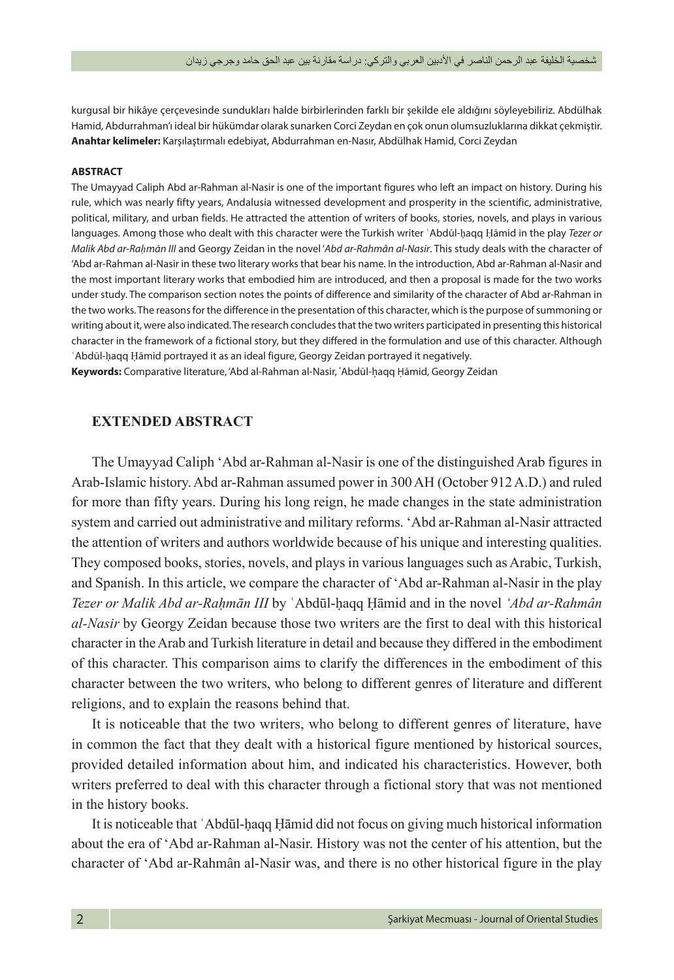kurgusal bir hikâye çerçevesinde sundukları halde birbirlerinden farklı bir şekilde ele aldığını söyleyebiliriz. Abdülhak Hamid, Abdurrahman'ı ideal bir hükümdar olarak sunarken Corci Zeydan en çok onun olumsuzluklarına dikkat çekmiştir. **Anahtar kelimeler:** Karşılaştırmalı edebiyat, Abdurrahman en-Nasır, Abdülhak Hamid, Corci Zeydan

#### **ABSTRACT**

The Umayyad Caliph Abd ar-Rahman al-Nasir is one of the important figures who left an impact on history. During his rule, which was nearly fifty years, Andalusia witnessed development and prosperity in the scientific, administrative, political, military, and urban fields. He attracted the attention of writers of books, stories, novels, and plays in various languages. Among those who dealt with this character were the Turkish writer ʿAbdūl-ḥaqq Ḥāmid in the play *Tezer or Malik Abd ar-Raḥmān III* and Georgy Zeidan in the novel '*Abd ar-Rahmân al-Nasir*. This study deals with the character of 'Abd ar-Rahman al-Nasir in these two literary works that bear his name. In the introduction, Abd ar-Rahman al-Nasir and the most important literary works that embodied him are introduced, and then a proposal is made for the two works under study. The comparison section notes the points of difference and similarity of the character of Abd ar-Rahman in the two works. The reasons for the difference in the presentation of this character, which is the purpose of summoning or writing about it, were also indicated. The research concludes that the two writers participated in presenting this historical character in the framework of a fictional story, but they differed in the formulation and use of this character. Although ʿAbdūl-ḥaqq Ḥāmid portrayed it as an ideal figure, Georgy Zeidan portrayed it negatively.

**Keywords:** Comparative literature, 'Abd al-Rahman al-Nasir, ʿAbdūl-ḥaqq Ḥāmid, Georgy Zeidan

#### **EXTENDED ABSTRACT**

The Umayyad Caliph 'Abd ar-Rahman al-Nasir is one of the distinguished Arab figures in Arab-Islamic history. Abd ar-Rahman assumed power in 300 AH (October 912 A.D.) and ruled for more than fifty years. During his long reign, he made changes in the state administration system and carried out administrative and military reforms. 'Abd ar-Rahman al-Nasir attracted the attention of writers and authors worldwide because of his unique and interesting qualities. They composed books, stories, novels, and plays in various languages such as Arabic, Turkish, and Spanish. In this article, we compare the character of 'Abd ar-Rahman al-Nasir in the play *Tezer or Malik Abd ar-Raḥmān III* by ʿAbdūl-ḥaqq Ḥāmid and in the novel *'Abd ar-Rahmân al-Nasir* by Georgy Zeidan because those two writers are the first to deal with this historical character in the Arab and Turkish literature in detail and because they differed in the embodiment of this character. This comparison aims to clarify the differences in the embodiment of this character between the two writers, who belong to different genres of literature and different religions, and to explain the reasons behind that.

It is noticeable that the two writers, who belong to different genres of literature, have in common the fact that they dealt with a historical figure mentioned by historical sources, provided detailed information about him, and indicated his characteristics. However, both writers preferred to deal with this character through a fictional story that was not mentioned in the history books.

It is noticeable that ʿAbdūl-ḥaqq Ḥāmid did not focus on giving much historical information about the era of 'Abd ar-Rahman al-Nasir. History was not the center of his attention, but the character of 'Abd ar-Rahmân al-Nasir was, and there is no other historical figure in the play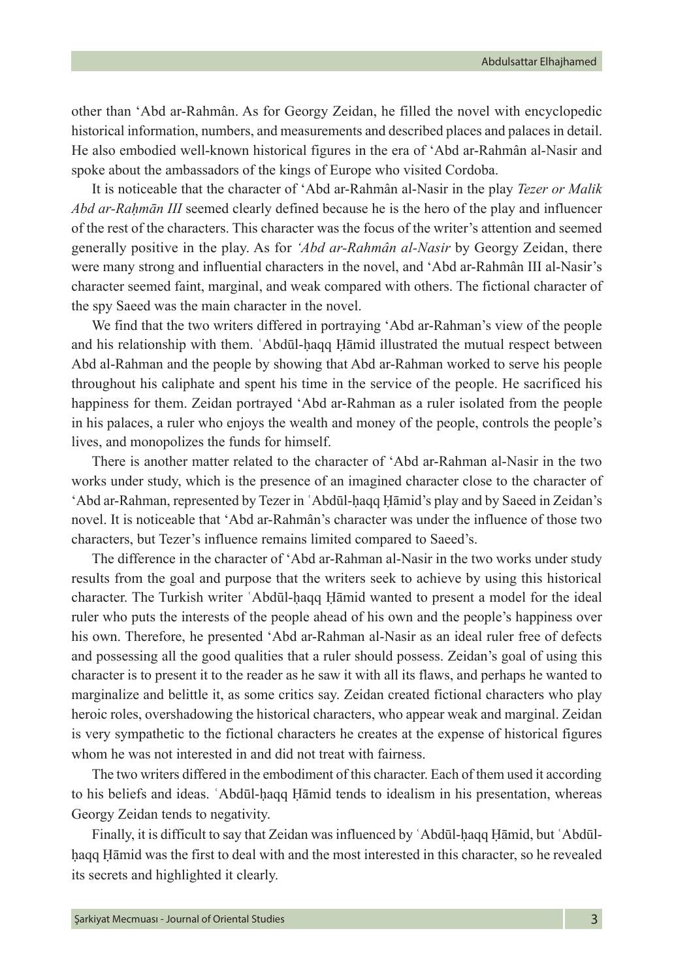other than 'Abd ar-Rahmân. As for Georgy Zeidan, he filled the novel with encyclopedic historical information, numbers, and measurements and described places and palaces in detail. He also embodied well-known historical figures in the era of 'Abd ar-Rahmân al-Nasir and spoke about the ambassadors of the kings of Europe who visited Cordoba.

It is noticeable that the character of 'Abd ar-Rahmân al-Nasir in the play *Tezer or Malik Abd ar-Raḥmān III* seemed clearly defined because he is the hero of the play and influencer of the rest of the characters. This character was the focus of the writer's attention and seemed generally positive in the play. As for *'Abd ar-Rahmân al-Nasir* by Georgy Zeidan, there were many strong and influential characters in the novel, and 'Abd ar-Rahmân III al-Nasir's character seemed faint, marginal, and weak compared with others. The fictional character of the spy Saeed was the main character in the novel.

We find that the two writers differed in portraying 'Abd ar-Rahman's view of the people and his relationship with them. ʿAbdūl-ḥaqq Ḥāmid illustrated the mutual respect between Abd al-Rahman and the people by showing that Abd ar-Rahman worked to serve his people throughout his caliphate and spent his time in the service of the people. He sacrificed his happiness for them. Zeidan portrayed 'Abd ar-Rahman as a ruler isolated from the people in his palaces, a ruler who enjoys the wealth and money of the people, controls the people's lives, and monopolizes the funds for himself.

There is another matter related to the character of 'Abd ar-Rahman al-Nasir in the two works under study, which is the presence of an imagined character close to the character of 'Abd ar-Rahman, represented by Tezer in ʿAbdūl-ḥaqq Ḥāmid's play and by Saeed in Zeidan's novel. It is noticeable that 'Abd ar-Rahmân's character was under the influence of those two characters, but Tezer's influence remains limited compared to Saeed's.

The difference in the character of 'Abd ar-Rahman al-Nasir in the two works under study results from the goal and purpose that the writers seek to achieve by using this historical character. The Turkish writer ʿAbdūl-ḥaqq Ḥāmid wanted to present a model for the ideal ruler who puts the interests of the people ahead of his own and the people's happiness over his own. Therefore, he presented 'Abd ar-Rahman al-Nasir as an ideal ruler free of defects and possessing all the good qualities that a ruler should possess. Zeidan's goal of using this character is to present it to the reader as he saw it with all its flaws, and perhaps he wanted to marginalize and belittle it, as some critics say. Zeidan created fictional characters who play heroic roles, overshadowing the historical characters, who appear weak and marginal. Zeidan is very sympathetic to the fictional characters he creates at the expense of historical figures whom he was not interested in and did not treat with fairness.

The two writers differed in the embodiment of this character. Each of them used it according to his beliefs and ideas. ʿAbdūl-ḥaqq Ḥāmid tends to idealism in his presentation, whereas Georgy Zeidan tends to negativity.

Finally, it is difficult to say that Zeidan was influenced by ʿAbdūl-ḥaqq Ḥāmid, but ʿAbdūlḥaqq Ḥāmid was the first to deal with and the most interested in this character, so he revealed its secrets and highlighted it clearly.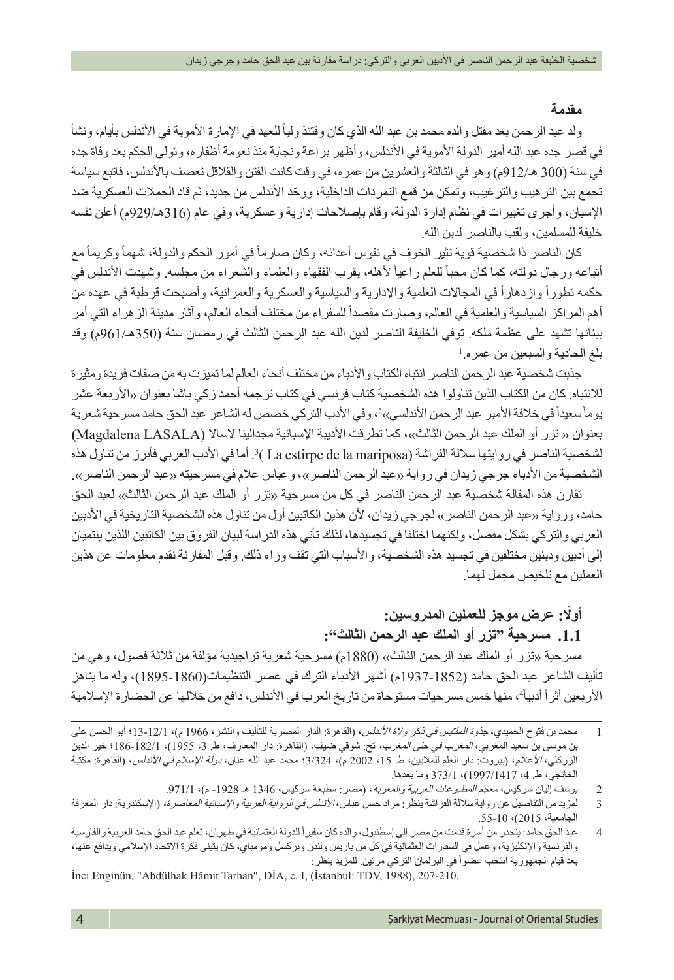#### **مقدمة**

ولد عبد الرحمن بعد مقتل والده محمد بن عبد الله الذي كان وقتئذ ولياً للعهد في الإمارة الأموية في الأندلس بأيام، ونشأ في قصر جده عبد الله أمير الدولة األموية في األندلس، وأظهر براعة ونجابة منذ نعومة أظفاره، وتولى الحكم بعد وفاة جده في سنة (300 هـ/912م) وهو في الثالثة والعشرين من عمره، في وقت كانت الفتن و القلاقل تعصف بالأندلس، فاتبع سياسة ّ تجمع بين الترهيب والترغيب، وتمكن من قمع التمردات الداخلية، ووحد األندلس من جديد، ثم قاد الحمالت العسكرية ضد اإلسبان، وأجرى تغييرات في نظام إدارة الدولة، وقام بإصالحات إدارية وعسكرية، وفي عام )316هـ929/م( أعلن نفسه خليفة للمسلمين، ولقب بالناصر لدين الله.

كان الناصر ذا شخصية قوية تثير الخوف في نفوس أعدائه، وكان صارماً في أمور الحكم والدولة، شهماً وكريماً مع أتباعه ورجال دولته، كما كان محبأ للعلم راعياً لأهله، يقرب الفقهاء والعلماء والشعراء من مجلسه. وشهدت الأندلس في حكمه تطوراً وازدهاراً في المجالات العلمية والإدارية والسياسية والعسكرية والعمرانية، وأصبحت قرطبة في عهده من أهم المراكز السياسية والعلمية في العالم، وصـارت مقصداً للسفراء من مختلف أنحاء العالم، وآثار مدينة الزهراء التي أمر ببنائها تشهد على عظمة ملكه. توفي الخليفة الناصر لدين الله عبد الرحمن الثالث في رمضان سنة )350هـ961/م( وقد 1 بلغ الحادية والسبعين من عمره.

جذبت شخصية عبد الرحمن الناصر انتباه الكتاب واألدباء من مختلف أنحاء العالم لما تميزت به من صفات فريدة ومثيرة لالنتباه. كان من الكتاب الذين تناولوا هذه الشخصية كتاب فرنسي في كتاب ترجمه أحمد زكي باشا بعنوان »األربعة عشر يوماً سعيداً في خلافة الأمير عبد الرحمن الأندلسي»?، وفي الأدب التركي خصص له الشاعر عبد الحق حامد مسر حية شعرية بعنوان » تزر أو الملك عبد الرحمن الثالث«، كما تطرقت األديبة اإلسبانية مجدالينا الساال )LASALA Magdalena **)** لشخصية الناصر في روايتها سلالة الفراشة (La estirpe de la mariposa ) 3. اما في الأدب العربي فابرز من تناول هذه الشخصية من الأدباء جرجي زيدان في رواية «عبد الرحمن الناصر»، وعباس علام في مسرحيته «عبد الرحمن الناصر».

تقارن هذه المقالة شخصية عبد الرحمن الناصر في كل من مسرحية «تزر أو الملك عبد الرحمن الثالث» لعبد الحق حامد، ورواية »عبد الرحمن الناصر« لجرجي زيدان، ألن هذين الكاتبين أول من تناول هذه الشخصية التاريخية في األدبين العربي والتركي بشكل مفصل، ولكنهما اختلفا في تجسيدها، لذلك تأتي هذه الدراسة لبيان الفروق بين الكاتبين اللذين ينتميان إلى أدبين ودينين مختلفين في تجسيد هذه الشخصية، واألسباب التي تقف وراء ذلك. وقبل المقارنة نقدم معلومات عن هذين العملين مع تلخيص مجمل لهما.

## **ً أوال: عرض موجز للعملين المدروسين:**

**.1.1 مسرحية "تزر أو الملك عبد الرحمن الثالث":**

مسرحية «تزر أو الملك عبد الرحمن الثالث» (1880م) مسرحية شعرية تراجيدية مؤلفة من ثلاثة فصول، وهي من تأليف الشاعر عبد الحق حامد )1937-1852م( أشهر األدباء الترك في عصر التنظيمات)1895-1860(، وله ما يناهز الأربعين أثر أ أدبياً ُ، منها خمس مسر حيات مستوحاة من تاريخ العرب في الأندلس، دافع من خلالها عن الحضار ة الإسلامية

İnci Enginün, "Abdülhak Hâmit Tarhan", DİA, c. I, (İstanbul: TDV, 1988), 207-210.

<sup>1</sup> محمد بن فتوح الحميدي، ج*ذوة المقتبس في ذكر ولاة الأندلس*، (القاهرة: الدار المصرية للتأليف والنشر، 1966 م)، 12/1-13؛ أبو الحسن على بن موسى بن سعيد المغربي، *المغرب في حلى المغرب*، تح: شوقي ضيف، (القاهرة: دار المعارف، ط. 3، 1955)، 182/1-186؛ خير الدين الزركلي، *الأ*علام، (بيروت: دار العلم للملايين، ط. 15، 2002 م)، 3/324؛ محمد عبد الله عنان، *دولة الإسلام في الأندلس*، (القاهرة: مكتبة الخانجي، ط. 4، 1417/1997)، 373/1 وما بعدها.

<sup>2</sup> يوسف إليان سركيس، معجم *المطبوعات العربية والمعربة*، (مصر: مطبعة سركيس، 1346 هـ 1928- م)، 971/1.

<sup>3</sup> لمزيد من التفاصيل عن رواية سلالة الفراشة ينظر : مراد حسن عباس، *الأندلس في الرواية العربية والإسبانية المعاصرة*، (الإسكندرية: دار المعرفة الجامعية، 2015(، .55-10

<sup>4 ٪</sup> عبد الحق حامد: ينحدر من أسرة قدمت من مصر إلى إسطنبول، والده كان سفيراً للدولة العثمانية في طهران، تعلم عبد الحق حامد العربية والفارسية والفرنسية واإلنكليزية، وعمل في السفارات العثمانية في كل من باريس ولندن وبركسل ومومباي، كان يتبنى فكرة االتحاد اإلسالمي ويدافع عنها، بعد قيام الجمهورية انتخب عضواً في البرلمان التركي مرتين. للمزيد ينظر :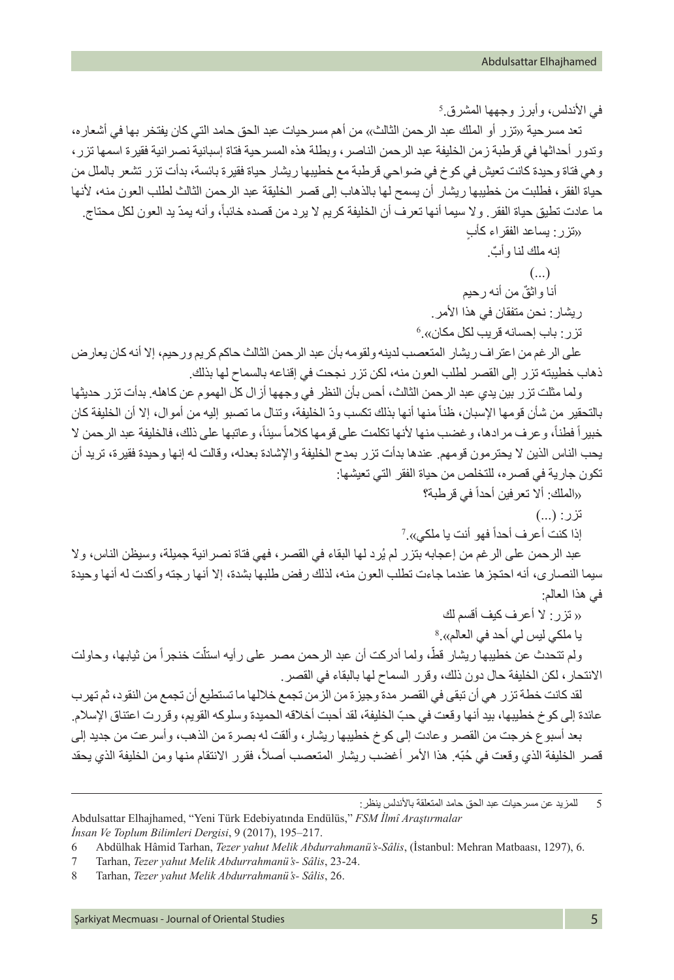في الاندلس، وأبرز وجهها المشرق.<sup>5</sup> تعد مسرحية «تزر أو الملك عبد الرحمن الثالث»، من أهم مسرحيات عبد الحق حامد التي كان يفتخر بها في أشعار ه، وتدور أحداثها في قرطبة زمن الخليفة عبد الرحمن الناصر، وبطلة هذه المسرحية فتاة إسبانية نصرانية فقيرة اسمها تزر، وهي فتاة وحيدة كانت تعيش في كوخ في ضواحي قرطبة مع خطيبها ريشار حياة فقيرة بائسة، بدأت تزر تشعر بالملل من حياة الفقر، فطلبت من خطيبها ريشار أن يسمح لها بالذهاب إلى قصر الخليقة عبد الرحمن الثالث لطلب العون منه، ألنها ما عادت تطيق حياة الفقر . ولا سيما أنها تعرف أن الخليفة كريم لا يرد من قصده خائباً، وأنه يمدّ يد العون لكل محتاج.

ٍ »تزر: يساعد الفقراء كأب ٌ إنه ملك لنا وأب.  $\ldots$ ) ٌ أنا واثق من أنه رحيم ر يشار : نحن متفقان في هذا الأمر . 6 تزر: باب إحسانه قريب لكل مكان«.

على الرغم من اعتراف ريشار المتعصب لدينه ولقومه بأن عبد الرحمن الثالث حاكم كريم ورحيم، إال أنه كان يعارض ذهاب خطيبته تزر إلى القصر لطلب العون منه، لكن تزر نجحت في إقناعه بالسماح لها بذلك.

ولما مثلت تزر بين يدي عبد الرحمن الثالث، أحس بأن النظر في وجهها أزال كل الهموم عن كاهله. بدأت تزر حديثها بالتحقير من شأن قومها الإسبان، ظناً منها أنها بذلك تكسب ودّ الخليفة، وتنال ما تصبو إليه من أموال، إلا أن الخليفة كان خبير أ فطناً، و عرف مر ادها، و غضب منها لأنها تكلمت على قومها كلاماً سيئاً، و عاتبها على ذلك، فالخليفة عبد الرحمن لا يحب الناس الذين ال يحترمون قومهم. عندها بدأت تزر بمدح الخليفة واإلشادة بعدله، وقالت له إنها وحيدة فقيرة، تريد أن تكون جارية في قصره، للتخلص من حياة الفقر التي تعيشها:

«الملك: ألا تعرفين أحداً في قرطبة؟

 $\ddots$ )  $\dddot{v}$ 

إذا كنت أعرف أحدأ فهو أنت يا ملكي».<sup>7</sup>

عبد الرحمن على الرغم من إعجابه بتزر لم يُرد لها البقاء في القصر ، فهي فتاة نصر انية جميلة، وسيظن الناس، ولا سيما النصارى، أنه احتجزها عندما جاءت تطلب العون منه، لذلك رفض طلبها بشدة، إال أنها رجته وأكدت له أنها وحيدة في هذا العالم:

» تزر: ال أعرف كيف أقسم لك

يا ملكي ليس لي أحد في العالم».<sup>8</sup> ولم تتحدث عن خطيبها ريشار قطّ، ولما أدركت أن عبد الرحمن مصر على رأيه استلّت خنجراً من ثيابها، وحاولت االنتحار، لكن الخليفة حال دون ذلك، وقرر السماح لها بالبقاء في القصر.

لقد كانت خطة تزر هي أن تبقى في القصر مدة وجيزة من الزمن تجمع خاللها ما تستطيع أن تجمع من النقود، ثم تهرب ّ عائدة إلى كوخ خطيبها، بيد أنها وقعت في حب الخليفة، لقد أحبت أخالقه الحميدة وسلوكه القويم، وقررت اعتناق اإلسالم. بعد أسبوع خرجت من القصر وعادت إلى كوخ خطيبها ريشار، وألقت له بصرة من الذهب، وأسرعت من جديد إلى قصر الخليفة الذي وقعت في حُبّه. هذا الأمر أغضب ريشار المتعصب أصلاً، فقرر الانتقام منها ومن الخليفة الذي يحقد

5 للمزيد عن مسرحيات عبد الحق حامد المتعلقة بالأندلس ينظر :

Abdulsattar Elhajhamed, "Yeni Türk Edebiyatında Endülüs," *FSM İlmî Araştırmalar İnsan Ve Toplum Bilimleri Dergisi*, 9 (2017), 195–217.

<sup>6</sup> Abdülhak Hâmid Tarhan, *Tezer yahut Melik Abdurrahmanü's-Sâlis*, (İstanbul: Mehran Matbaası, 1297), 6.

<sup>7</sup> Tarhan, *Tezer yahut Melik Abdurrahmanü's- Sâlis*, 23-24.

<sup>8</sup> Tarhan, *Tezer yahut Melik Abdurrahmanü's- Sâlis*, 26.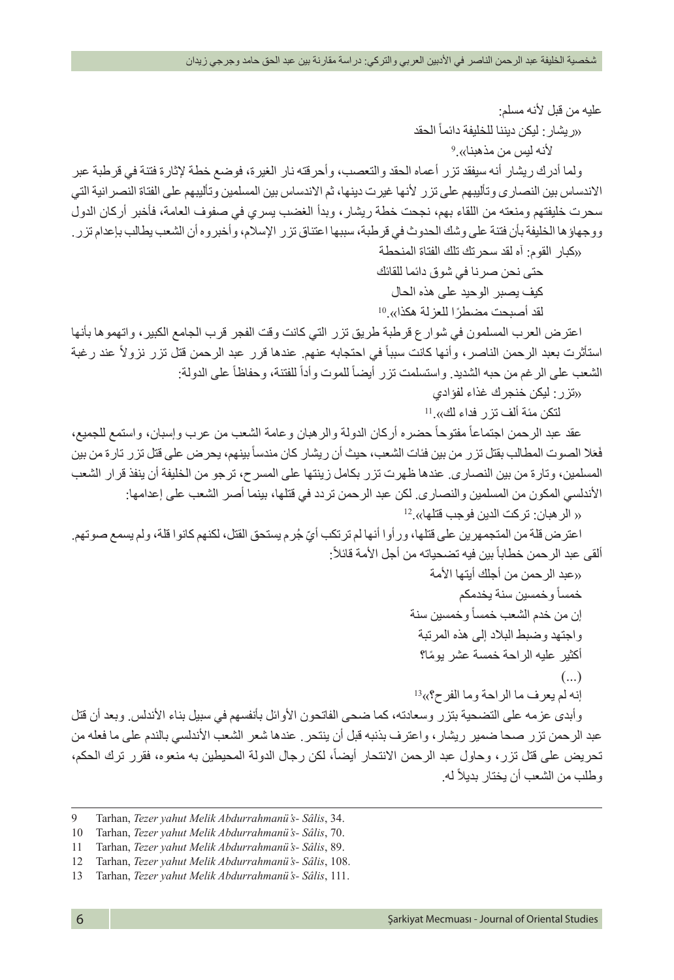عليه من قبل ألنه مسلم: ً الحقد »ريشار: ليكن ديننا للخليفة دائما 9 ألنه ليس من مذهبنا«. ولما أدرك ريشار أنه سيفقد تزر أعماه الحقد والتعصب، وأحرقته نار الغيرة، فوضع خطة إلثارة فتنة في قرطبة عبر االندساس بين النصارى وتأليبهم على تزر ألنها غيرت دينها، ثم االندساس بين المسلمين وتأليبهم على الفتاة النصرانية التي سحرت خليفتهم ومنعته من اللقاء بهم، نجحت خطة ريشار، وبدأ الغضب يسري في صفوف العامة، فأخبر أركان الدول ووجهاؤها الخليفة بأن فتنة على وشك الحدوث في قرطبة، سببها اعتناق تزر اإلسالم، وأخبروه أن الشعب يطالب بإعدام تزر. »كبار القوم: آه لقد سحرتك تلك الفتاة المنحطة حتى نحن صرنا في شوق دائما للقائك كيف يصبر الوحيد على هذه الحال ً لقد أصبحت مضطرا للعزلة هكذا«10. اعترض العرب المسلمون في شوارع قرطبة طريق تزر التي كانت وقت الفجر قرب الجامع الكبير، واتهموها بأنها ً عند رغبة ً في احتجابه عنهم. عندها قرر عبد الرحمن قتل تزر نزوال استأثرت بعبد الرحمن الناصر، وأنها كانت سببا ً على الدولة: ً للفتنة، وحفاظا ً للموت وأدا الشعب على الرغم من حبه الشديد. واستسلمت تزر أيضا »تزر: ليكن خنجرك غذاء لفؤادي لتكن مئة ألف تزر فداء لك«<sup>11</sup>. ً حضره أركان الدولة والرهبان وعامة الشعب من عرب وإسبان، واستمع للجميع، ً مفتوحا عقد عبد الرحمن اجتماعا ً بينهم، يحرض على قتل تزر تارة من بين َال الصوت المطالب بقتل تزر من بين فئات الشعب، حيث أن ريشار كان مندسا َع ف المسلمين، وتارة من بين النصارى. عندها ظهرت تزر بكامل زينتها على المسرح، ترجو من الخليفة أن ينفذ قرار الشعب األندلسي المكون من المسلمين والنصارى. لكن عبد الرحمن تردد في قتلها، بينما أصر الشعب على إعدامها: » الرهبان: تركت الدين فوجب قتلها«12. ّ اعترض قلة من المتجمهرين على قتلها، ورأوا أنها لم ترتكب أي ُ جرم يستحق القتل، لكنهم كانوا قلة، ولم يسمع صوتهم. :ً ً بين فيه تضحياته من أجل األمة قائال ألقى عبد الرحمن خطابا »عبد الرحمن من أجلك أيتها األمة ً وخمسين سنة يخدمكم خمسا ً وخمسين سنة إن من خدم الشعب خمسا واجتهد وضبط البالد إلى هذه المرتبة ً أكثير عليه الراحة خمسة عشر يوما؟ )...( إنه لم يعرف ما الراحة وما الفرح؟«13 وأبدى عزمه على التضحية بتزر وسعادته، كما ضحى الفاتحون األوائل بأنفسهم في سبيل بناء األندلس. وبعد أن قتل عبد الرحمن تزر صحا ضمير ريشار، واعترف بذنبه قبل أن ينتحر. عندها شعر الشعب األندلسي بالندم على ما فعله من

تحريض على قتل تزر، وحاول عبد الرحمن الانتحار أيضاً، لكن رجال الدولة المحيطين به منعوه، فقرر ترك الحكم، وطلب من الشعب أن يختار بديلاً له.

<sup>9</sup> Tarhan, *Tezer yahut Melik Abdurrahmanü's- Sâlis*, 34.

<sup>10</sup> Tarhan, *Tezer yahut Melik Abdurrahmanü's- Sâlis*, 70.

<sup>11</sup> Tarhan, *Tezer yahut Melik Abdurrahmanü's- Sâlis*, 89.

<sup>12</sup> Tarhan, *Tezer yahut Melik Abdurrahmanü's- Sâlis*, 108.

<sup>13</sup> Tarhan, *Tezer yahut Melik Abdurrahmanü's- Sâlis*, 111.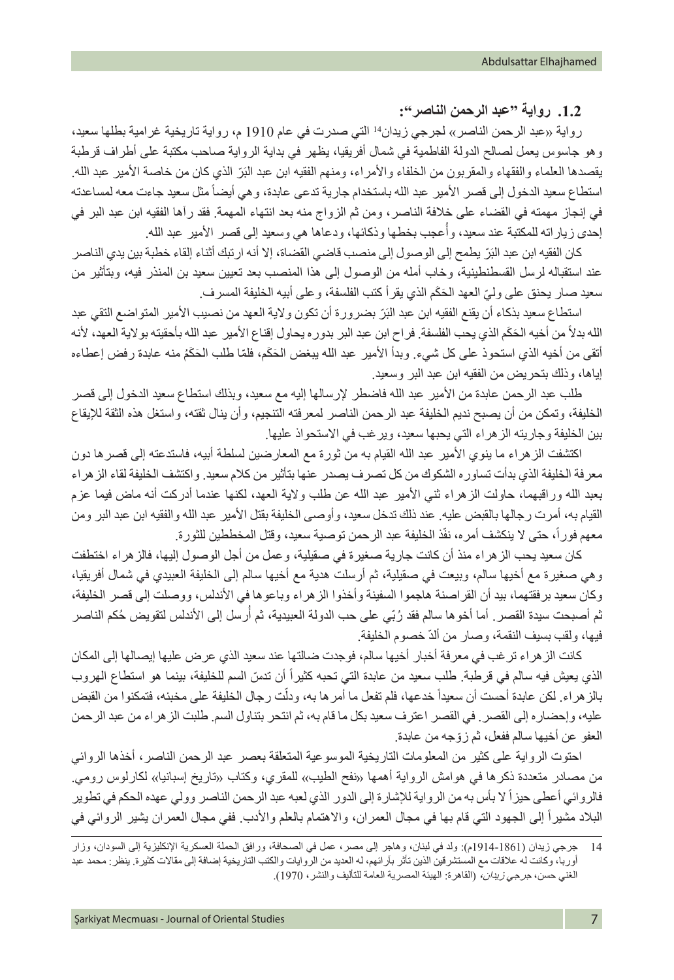**.1.2 رواية "عبد الرحمن الناصر":**

رواية »عبد الرحمن الناصر« لجرجي زيدان<sup>14</sup> التي صدرت في عام 1910 م، رواية تاريخية غرامية بطلها سعيد، وهو جاسوس يعمل لصالح الدولة الفاطمية في شمال أفريقيا، يظهر في بداية الرواية صاحب مكتبة على أطراف قرطبة يقصدها العلماء والفقهاء والمقربون من الخلفاء والأمراء، ومنهم الفقيه ابن عبد البَرّ الذي كان من خاصة الأمير عبد الله. استطاع سعيد الدخول إلى قصر الأمير عبد الله باستخدام جارية تدعى عابدة، وهي أيضاً مثل سعيد جاءت معه لمساعدته في إنجاز مهمته في القضاء على خالفة الناصر، ومن ثم الزواج منه بعد انتهاء المهمة. فقد رآها الفقيه ابن عبد البر في إحدى زياراته للمكتبة عند سعيد، وأُعجب بخطها وذكائها، ودعاها هي وسعيد إلى قصر الأمير عبد الله.

كان الفقيه ابن عبد البَرّ يطمح إلى الوصول إلى منصب قاضي القضاة، إلا أنه ارتبك أثناء إلقاء خطبة بين يدي الناصر عند استقباله لرسل القسطنطينية، وخاب أمله من الوصول إلى هذا المنصب بعد تعيين سعيد بن المنذر فيه، وبتأثير من سعيد صار يحنق على وليّ العهد الحَكَم الذي يقر أ كتب الفلسفة، و على أبيه الخليفة المسر ف.

استطاع سعيد بذكاء أن يقنع الفقيه ابن عبد البَرّ بضرورة أن تكون ولاية العهد من نصيب الأمير المتواضع التقي عبد ًالله بدلاً من أخيه الحَكَم الذي يحب الفلسفة. فراح ابن عبد البر بدوره يحاول إقناع الأمير عبد الله بأحقيته بولاية العهد، لأنه أتقى من أخيه الذي استحوذ على كل شيء. وبدأ الأمير عبد الله يبغض الحَكَم، فلمّا طلب الحَكَمُ منه عابدة رفض إعطاءه إياها، وذلك بتحريض من الفقيه ابن عبد البر وسعيد.

طلب عبد الرحمن عابدة من األمير عبد الله فاضطر إلرسالها إليه مع سعيد، وبذلك استطاع سعيد الدخول إلى قصر الخليفة، وتمكن من أن يصبح نديم الخليفة عبد الرحمن الناصر لمعرفته التنجيم، وأن ينال ثقته، واستغل هذه الثقة لإليقاع بين الخليفة وجاريته الزهراء التي يحبها سعيد، ويرغب في االستحواذ عليها.

اكتشفت الزهراء ما ينوي األمير عبد الله القيام به من ثورة مع المعارضين لسلطة أبيه، فاستدعته إلى قصرها دون معرفة الخليفة الذي بدأت تساوره الشكوك من كل تصرف يصدر عنها بتأثير من كالم سعيد. واكتشف الخليفة لقاء الزهراء بعبد الله وراقبهما، حاولت الزهراء ثني األمير عبد الله عن طلب والية العهد، لكنها عندما أدركت أنه ماض فيما عزم القيام به، أمرت رجالها بالقبض عليه. عند ذلك تدخل سعيد، وأوصى الخليفة بقتل األمير عبد الله والفقيه ابن عبد البر ومن معهم فوراً، حتى لا ينكشف أمره، نفّذ الخليفة عبد الرحمن توصية سعيد، وقتل المخططين للثورة.

كان سعيد يحب الزهراء منذ أن كانت جارية صغيرة في صقيلية، وعمل من أجل الوصول إليها، فالزهراء اختطفت وهي صغيرة مع أخيها سالم، وبيعت في صقيلية، ثم أرسلت هدية مع أخيها سالم إلى الخليفة العبيدي في شمال أفريقيا، وكان سعيد برفقتهما، بيد أن القراصنة هاجموا السفينة وأخذوا الزهراء وباعوها في األندلس، ووصلت إلى قصر الخليفة، ِّ ِ ثم أصبحت سيدة القصر . أما أخو ها سالم فقد رُبّي على حب الدولة العبيدية، ثم أرسل إلى الاندلس لتقويض حُكم الناصر فيها، ولقب بسيف النقمة، وصار من ألدّ خصوم الخليفة.

كانت الزهراء ترغب في معرفة أخبار أخيها سالم، فوجدت ضالتها عند سعيد الذي عرض عليها إيصالها إلى المكان الذي يعيش فيه سالم في قرطبة. طلب سعيد من عابدة التي تحبه كثيراً أن تدسّ السم للخليفة، بينما هو استطاع الهروب بالز هراء. لكن عابدة أحست أن سعيداً خدعها، فلم تفعل ما أمر ها به، ودلّت رجال الخليفة على مخبئه، فتمكنوا من القبض عليه، وإحضاره إلى القصر. في القصر اعترف سعيد بكل ما قام به، ثم انتحر بتناول السم. طلبت الزهراء من عبد الرحمن ّ العفو عن أخيها سالم ففعل، ثم زوجه من عابدة.

احتوت الرواية على كثير من المعلومات التاريخية الموسوعية المتعلقة بعصر عبد الرحمن الناصر، أخذها الروائي من مصـادر متعددة ذكرها فـي هوامش الرواية أهمها «نفح الطيب» للمقري، وكتاب «تاريخ إسبانيا» لكارلوس رومي. فالروائي أعطى حيزاً لا بأس به من الرواية للإشارة إلى الدور الذي لعبه عبد الرحمن الناصر وولي عهده الحكم في تطوير البلاد مشيراً إلى الجهود التي قام بها في مجال العمر ان، والاهتمام بالعلم والأدب. ففي مجال العمر ان يشير الروائي في

<sup>14</sup> جرجي زيدان )1914-1861م(: ولد في لبنان، وهاجر إلى مصر، عمل في الصحافة، ورافق الحملة العسكرية اإلنكليزية إلى السودان، وزار أوربا، وكانت له عالقات مع المستشرقين الذين تأثر بآرائهم، له العديد من الروايات والكتب التاريخية إضافة إلى مقاالت كثيرة. ينظر: محمد عبد الغني حسن، جرجي زيدان، (القاهرة: الهيئة المصرية العامة للتأليف والنشر، 1970).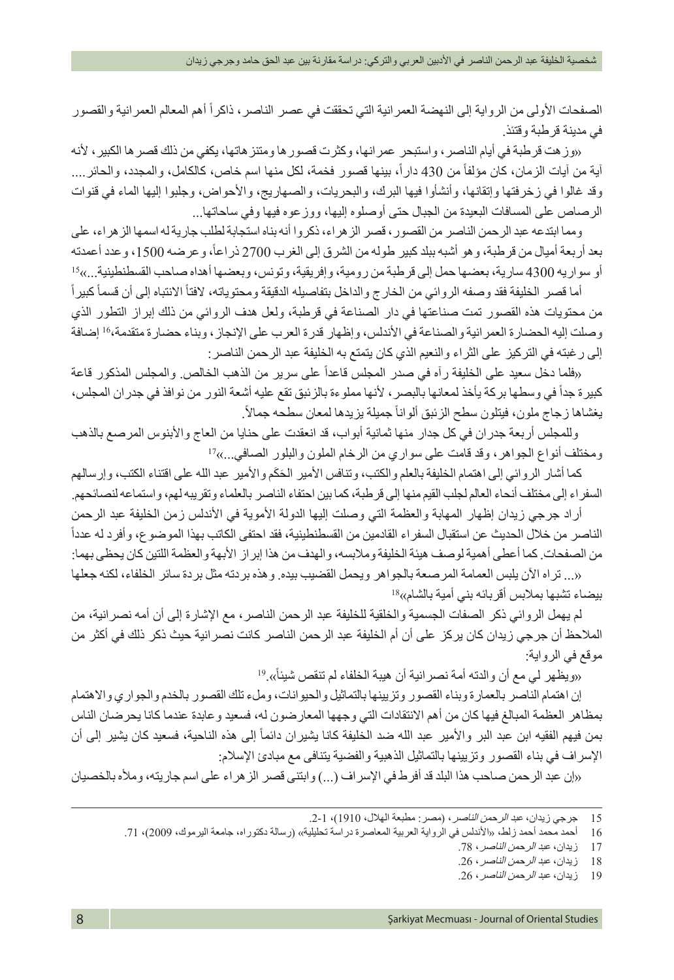الصفحات الأولى من الرواية إلى النهضة العمرانية التي تحققت في عصر الناصر، ذاكراً أهم المعالم العمرانية والقصور في مدينة قرطبة وقتئذ.

»وزهت قرطبة في أيام الناصر، واستبحر عمرانها، وكثرت قصورها ومتنزهاتها، يكفي من ذلك قصرها الكبير، ألنه أية من أيات الزمان، كان مؤلفاً من 430 دار أ، بينها قصور فخمة، لكل منها اسم خاص، كالكامل، والمجدد، والحائر …. وقد غالوا في زخرفتها وإتقانها، وأنشأوا فيها البرك، والبحريات، والصهاريج، واألحواض، وجلبوا إليها الماء في قنوات الرصاص على المسافات البعيدة من الجبال حتى أوصلوه إليها، ووزعوه فيها وفي ساحاتها...

ومما ابتدعه عبد الرحمن الناصر من القصور، قصر الزهراء، ذكروا أنه بناه استجابة لطلب جارية له اسمها الزهراء، على بعد أربعة أميال من قرطبة، وهو أشبه ببلد كبير طوله من الشرق إلى الغرب 2700 ذراعاً، و عرضه 1500، وعدد أعمدته أو سواريه 4300 سارية، بعضها حمل إلى قرطبة من رومية، وإفريقية، وتونس، وبعضها أهداه صاحب القسطنطينية...«15

ً أما قصر الخليفة فقد وصفه الروائي من الخارج والداخل بتفاصيله الدقيقة ومحتوياته، لافتأ الانتباه إلى أن قسمأ كبير أ من محتويات هذه القصور تمت صناعتها في دار الصناعة في قرطبة، ولعل هدف الروائي من ذلك إبراز التطور الذي وصلت إليه الحضارة العمرانية والصناعة في األندلس، وإظهار قدرة العرب على اإلنجاز، وبناء حضارة متقدمة16، إضافة إلى رغبته في التركيز على الثراء والنعيم الذي كان يتمتع به الخليفة عبد الرحمن الناصر:

«فلما دخل سعيد على الخليفة ر آه في صدر المجلس قاعداً على سرير من الذهب الخالص. و المجلس المذكور قاعة كبيرة جداً في وسطها بركة يأخذ لمعانها بالبصر ، لأنها مملوءة بالزئبق تقع عليه أشعة النور من نوافذ في جدران المجلس، يغشاها زجاج ملون، فيتلون سطح الزئبق ألوانأ جميلة يزيدها لمعان سطحه جمالاً.

 وللمجلس أربعة جدران في كل جدار منها ثمانية أبواب، قد انعقدت على حنايا من العاج واألبنوس المرصع بالذهب ومختلف أنواع الجواهر، وقد قامت على سواري من الرخام الملون والبلور الصافي...«17

كما أشار الروائي إلى اهتمام الخليفة بالعلم والكتب، وتنافس الأمير الحَكَم والأمير عبد الله على اقتناء الكتب، وإرسالهم السفراء إلى مختلف أنحاء العالم لجلب القيم منها إلى قرطبة، كما بين احتفاء الناصر بالعلماء وتقريبه لهم، واستماعه لنصائحهم.

أراد جرجي زيدان إظهار المهابة والعظمة التي وصلت إليها الدولة الأموية في الأندلس زمن الخليفة عبد الرحمن ً الناصر من خالل الحديث عن استقبال السفراء القادمين من القسطنطينية، فقد احتفى الكاتب بهذا الموضوع، وأفرد له عددا من الصفحات. كما أعطى أهمية لوصف هيئة الخليفة وملابسه، والهدف من هذا إبراز الأبهة والعظمة اللتين كان يحظى بهما:

»... تراه اآلن يلبس العمامة المرصعة بالجواهر ويحمل القضيب بيده. وهذه بردته مثل بردة سائر الخلفاء، لكنه جعلها بيضاء تشبها بملابس أقربائه بني أمية بالشام»<sup>18</sup>

لم يهمل الروائي ذكر الصفات الجسمية والخلقية للخليفة عبد الرحمن الناصر، مع اإلشارة إلى أن أمه نصرانية، من المالحظ أن جرجي زيدان كان يركز على أن أم الخليفة عبد الرحمن الناصر كانت نصرانية حيث ذكر ذلك في أكثر من موقع في الرواية:

«ويظهر لي مع أن والدته أمة نصر انية أن هيبة الخلفاء لم تنقص شيئاً».<sup>19</sup>

إن اهتمام الناصر بالعمارة وبناء القصور وتزيينها بالتماثيل والحيوانات، وملء تلك القصور بالخدم والجواري واالهتمام بمظاهر العظمة المبالغ فيها كان من أهم االنتقادات التي وجهها المعارضون له، فسعيد وعابدة عندما كانا يحرضان الناس بمن فيهم الفقيه ابن عبد البر والأمير عبد الله ضد الخليفة كانا يشيران دائماً إلى هذه الناحية، فسعيد كان يشير إلى أن اإلسراف في بناء القصور وتزيينها بالتماثيل الذهبية والفضية يتنافى مع مبادئ اإلسالم:

»إن عبد الرحمن صاحب هذا البلد قد أفرط في اإلسراف )...( وابتنى قصر الزهراء على اسم جاريته، ومأله بالخصيان

<sup>15</sup> جرجي زيدان، عبد الرحم*ن الناصر*، (مصر: مطبعة الهلال، 1910)، 1-2.

<sup>16</sup> أحمد محمد أحمد زلط، «الأندلس في الرواية العربية المعاصرة دراسة تحليلية» (رسالة دكتوراه، جامعة اليرموك، 2009)، 71.

<sup>17</sup> زيدان، عبد *الرحمن الناصر*، 78.

<sup>18</sup> زيدان، *عبد الرحمن الناصر* ، 26. 19 زيدان، عبد الرحم*ن الناصر*، 26.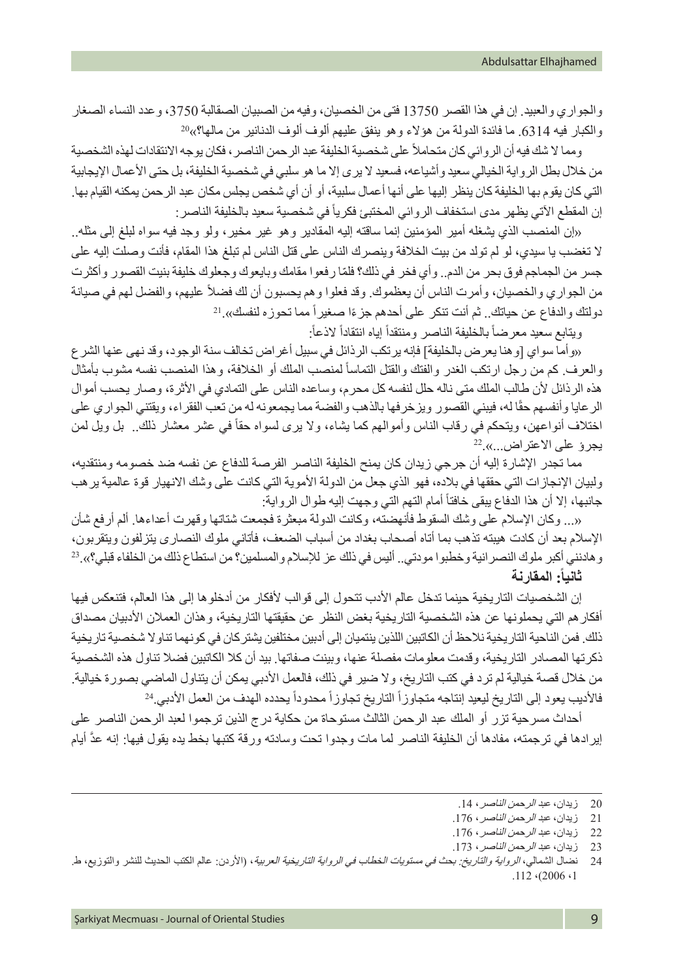والجواري والعبيد. إن في هذا القصر 13750 فتى من الخصيان، وفيه من الصبيان الصقالبة ،3750 وعدد النساء الصغار والكبار فيه 6314. ما فائدة الدولة من هؤلاء وهو ينفق عليهم ألوف ألوف الدنانير من مالها؟»<sup>20</sup>

ومما لا شك فيه أن الروائي كان متحاملاً على شخصية الخليفة عبد الرحمن الناصر ، فكان يوجه الانتقادات لهذه الشخصية من خلال بطل الرواية الخيالي سعيد وأشياعه، فسعيد لا يرى إلا ما هو سلبي في شخصية الخليفة، بل حتى الأعمال الإيجابية التي كان يقوم بها الخليفة كان ينظر إليها على أنها أعمال سلبية، أو أن أي شخص يجلس مكان عبد الرحمن يمكنه القيام بها. إن المقطع الآتي يظهر مدى استخفاف الروائي المختبئ فكرياً في شخصية سعيد بالخليفة الناصر :

»إن المنصب الذي يشغله أمير المؤمنين إنما ساقته إليه المقادير وهو غير مخير، ولو وجد فيه سواه لبلغ إلى مثله.. ال تغضب يا سيدي، لو لم تولد من بيت الخالفة وينصرك الناس على قتل الناس لم تبلغ هذا المقام، فأنت وصلت إليه على ّ جسر من الجماجم فوق بحر من الدم.. وأي فخر في ذلك؟ فلما رفعوا مقامك وبايعوك وجعلوك خليفة بنيت القصور وأكثرت من الجواري والخصيان، وأمرت الناس أن يعظموك. وقد فعلوا وهم يحسبون أن لك فضلاً عليهم، والفضل لهم في صيانة دولتك والدفاع عن حياتك . ثم أنت تنكر على أحدهم جزءًا صغير أ مما تحوزه لنفسك». <sup>21</sup>

ويتابع سعيد معرضاً بالخليفة الناصر ومنتقدأ إياه انتقادأ لاذعأ:

»وأما سواي ]وهنا يعرض بالخليفة[ فإنه يرتكب الرذائل في سبيل أغراض تخالف سنة الوجود، وقد نهى عنها الشرع والعرف كم من رجل ارتكب الغدر والفتك والقتل التماسأ لمنصب الملك أو الخلافة، وهذا المنصب نفسه مشوب بأمثال هذه الرذائل ألن طالب الملك متى ناله حلل لنفسه كل محرم، وساعده الناس على التمادي في األثرة، وصار يحسب أموال الر عايا وأنفسهم حقًا له، فيبني القصور ويزخرفها بالذهب والفضة مما يجمعونه له من تعب الفقر اء، ويقتني الجواري على اختلاف أنواعهن، ويتحكم في رقاب الناس وأموالهم كما يشاء، ولا يرى لسواه حقاً في عشر معشار ذلك.<sub>.</sub> بل ويل لمن<br>يجرؤ على الاعتراض...».<sup>22</sup>

مما تجدر اإلشارة إليه أن جرجي زيدان كان يمنح الخليفة الناصر الفرصة للدفاع عن نفسه ضد خصومه ومنتقديه، ولبيان اإلنجازات التي حققها في بالده، فهو الذي جعل من الدولة األموية التي كانت على وشك االنهيار قوة عالمية يرهب جانبها، إلا أن هذا الدفاع يبقى خافتاً أمام التهم التي وجهت إليه طوال الرواية:

»... وكان اإلسالم على وشك السقوط فأنهضته، وكانت الدولة مبعثرة فجمعت شتاتها وقهرت أعداءها. ألم أرفع شأن اإلسالم بعد أن كادت هيبته تذهب بما أتاه أصحاب بغداد من أسباب الضعف، فأتاني ملوك النصارى يتزلفون ويتقربون، وهادنني أكبر ملوك النصرانية وخطبوا مودتي.. أليس في ذلك عز لإلسالم والمسلمين؟ من استطاع ذلك من الخلفاء قبلي؟«23. **ثانيا:ً المقارنة** 

إن الشخصيات التاريخية حينما تدخل عالم الأدب تتحول إلى قوالب لأفكار من أدخلوها إلى هذا العالم، فتنعكس فيها أفكارهم التي يحملونها عن هذه الشخصية التاريخية بغض النظر عن حقيقتها التاريخية، وهذان العمالن األدبيان مصداق ذلك. فمن الناحية التاريخية نالحظ أن الكاتبين اللذين ينتميان إلى أدبين مختلفين يشتركان في كونهما تناوال شخصية تاريخية ذكرتها المصادر التاريخية، وقدمت معلومات مفصلة عنها، وبينت صفاتها. بيد أن كال الكاتبين فضال تناول هذه الشخصية من خلال قصة خيالية لم ترد في كتب التاريخ، ولا ضير في ذلك، فالعمل الأدبي يمكن أن يتناول الماضي بصورة خيالية. فالأديب يعود إلى التاريخ ليعيد إنتاجه متجاوزاً التاريخ تجاوزاً محدوداً يحدده الهدف من العمل الأدبي.<sup>24</sup>

أحداث مسرحية تزر أو الملك عبد الرحمن الثالث مستوحاة من حكاية درج الذين ترجموا لعبد الرحمن الناصر على إيرادها في ترجمته، مفادها أن الخليفة الناصر لما مات وجدوا تحت وسادته ورقة كتبها بخط يده يقول فيها: إنه عدَّ أيام

<sup>20</sup> زيدان، *عبد الرحمن الناصر* ، 14.

<sup>21</sup> زيدان، *عبد الرحمن الناصر* ، 176.

<sup>22</sup> زيدان، عبد *الرحمن الناصر*، 176.

<sup>23</sup> زيدان، عبد الرحمن الناصر، .173

<sup>24</sup> نضال الشمالي، *الرواية والتاريخ: بحث في مستويات الخطاب في الرواية التاريخية العربية*، (الأردن: عالم الكتب الحديث للنشر والتوزيع، ط.  $.112 \cdot (2006 \cdot 1)$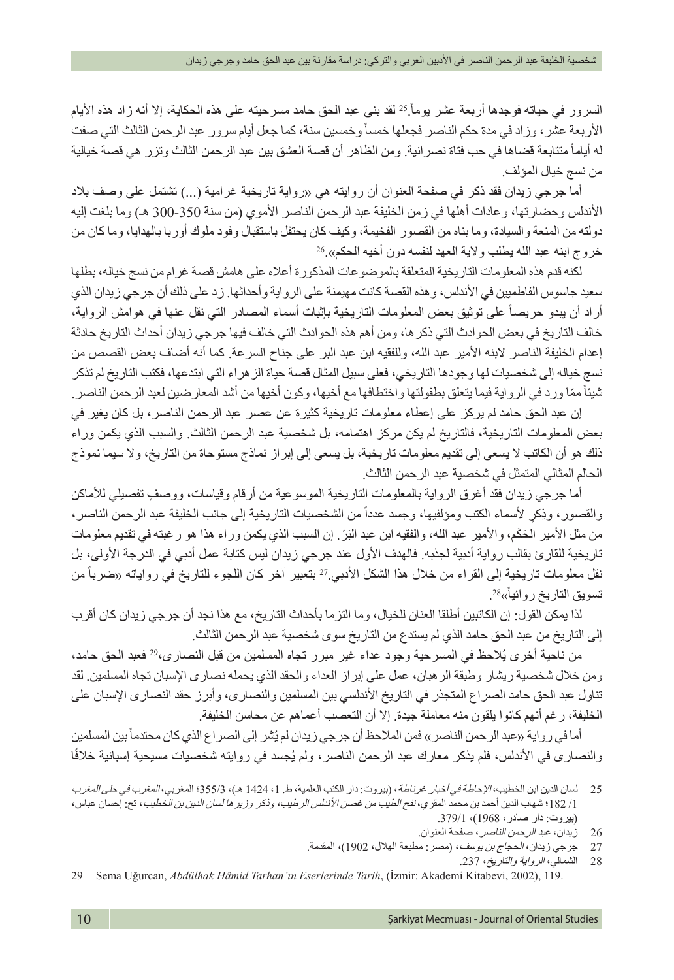السرور في حياته فوجدها أربعة عشر يوماً <sup>25</sup> لقد بنى عبد الحق حامد مسرحيته على هذه الحكاية، إلا أنه زاد هذه الأيام الأربعة عشر ، وزاد في مدة حكم الناصر فجعلها خمسأ وخمسين سنة، كما جعل أيام سرور عبد الرحمن الثالث التي صفت له أياماً متتابعة قضاها في حب فتاة نصر انية. ومن الظاهر أن قصة العشق بين عبد الرحمن الثالث وتزر هي قصة خيالية من نسج خيال المؤلف.

أما جر جي زيدان فقد ذكر في صفحة العنوان أن روايته هي «رواية تاريخية غر امية (...) تشتمل على وصف بلاد الأندلس وحضارتها، وعادات أهلها في زمن الخليفة عبد الرحمن الناصر الأموي (من سنة 350-300 هـ) وما بلغت إليه دولته من المنعة والسيادة، وما بناه من القصور الفخيمة، وكيف كان يحتفل باستقبال وفود ملوك أوربا بالهدايا، وما كان من خروج ابنه عبد الله يطلب والاية العهد لنفسه دون أخيه الحكم».<sup>26</sup>

لكنه قدم هذه المعلومات التاريخية المتعلقة بالموضوعات المذكورة أعاله على هامش قصة غرام من نسج خياله، بطلها سعيد جاسوس الفاطميين في الأندلس، وهذه القصة كانت مهيمنة على الرواية وأحداثها. زد على ذلك أن جرجي زيدان الذي أراد أن يبدو حريصاً على توثيق بعض المعلومات التاريخية بإثبات أسماء المصادر التي نقل عنها في هوامش الرواية، خالف التاريخ في بعض الحوادث التي ذكرها، ومن أهم هذه الحوادث التي خالف فيها جرجي زيدان أحداث التاريخ حادثة إعدام الخليفة الناصر البنه األمير عبد الله، وللفقيه ابن عبد البر على جناح السرعة. كما أنه أضاف بعض القصص من نسج خياله إلى شخصيات لها وجودها التاريخي، فعلى سبيل المثال قصة حياة الزهراء التي ابتدعها، فكتب التاريخ لم تذكر شيئاً ممّا ورد في الرواية فيما يتعلق بطفولتها واختطافها مع أخيها، وكون أخيها من أشد المعارضين لعبد الرحمن الناصر <sub>.</sub>

إن عبد الحق حامد لم يركز على إعطاء معلومات تاريخية كثيرة عن عصر عبد الرحمن الناصر، بل كان يغير في بعض المعلومات التاريخية، فالتاريخ لم يكن مركز اهتمامه، بل شخصية عبد الرحمن الثالث. والسبب الذي يكمن وراء ذلك هو أن الكاتب ال يسعى إلى تقديم معلومات تاريخية، بل يسعى إلى إبراز نماذج مستوحاة من التاريخ، وال سيما نموذج الحالم المثالي المتمثل في شخصية عبد الرحمن الثالث.

ٍ أما جرجي زيدان فقد أغرق الرواية بالمعلومات التاريخية الموسوعية من أرقام وقياسات، ووصف تفصيلي لألماكن والقصور، وذِكرٍ لأسماء الكتب ومؤلفيها، وجسد عدداً من الشخصيات التاريخية إلى جانب الخليفة عبد الرحمن الناصر، من مثل الأمير الحَكَم، والأمير عبد الله، والفقيه ابن عبد البَرّ ٍ إن السبب الذي يكمن وراء هذا هو رغبته في تقديم معلومات تاريخية للقارئ بقالب رواية أدبية لجذبه. فالهدف الأول عند جرجي زيدان ليس كتابة عمل أدبي في الدرجة الأولى، بل نقل معلومات تاريخية إلى القراء من خلال هذا الشكل الأدبي 2<sup>7</sup> بتعبير آخر كان اللجوء للتاريخ في رواياته «ضرباً من تسويق التاريخ روائيأ»<sup>28</sup>.

لذا يمكن القول: إن الكاتبين أطلقا العنان للخيال، وما التزما بأحداث التاريخ، مع هذا نجد أن جرجي زيدان كان أقرب إلى التاريخ من عبد الحق حامد الذي لم يستدع من التاريخ سوى شخصية عبد الرحمن الثالث.

من ناحية أخرى يُلاحظ في المسرحية وجود عداء غير مبرر تجاه المسلمين من قبل النصـاري،29 فعبد الحق حامد، ومن خالل شخصية ريشار وطبقة الرهبان، عمل على إبراز العداء والحقد الذي يحمله نصارى اإلسبان تجاه المسلمين. لقد تناول عبد الحق حامد الصراع المتجذر في التاريخ األندلسي بين المسلمين والنصارى، وأبرز حقد النصارى اإلسبان على الخليفة، رغم أنهم كانوا يلقون منه معاملة جيدة. إال أن التعصب أعماهم عن محاسن الخليفة.

أما في ر واية «عبد الرحمن الناصر » فمن الملاحظ أن جرجي زيدان لم يُشر إلى الصر اع الذي كان محتدماً بين المسلمين والنصارى في الأندلس، فلم يذكر معارك عبد الرحمن الناصر، ولم يُجسد في روايته شخصيات مسيحية إسبانية خلافًا

29 Sema Uğurcan, *Abdülhak Hâmid Tarhan'ın Eserlerinde Tarih*, (İzmir: Akademi Kitabevi, 2002), 119.

<sup>25</sup> لسان الدين ابن الخطيب، اإلحاطة في أخبار غرناطة، )بيروت: دار الكتب العلمية، ط. ،1 1424 هـ(، 355/3؛ المغربي، المغرب في حلى المغرب /1 182؛ شهاب الدين أحمد بن محمد المقري، نفح الطيب من غصن األندلس الرطيب، وذكر وزيرها لسان الدين بن الخطيب، تح: إحسان عباس، )بيروت: دار صادر، 1968(، .379/1

<sup>26</sup> زيدان، عبد الرحمن الناصر، صفحة العنوان.

<sup>27</sup> حرجي زيدان، *الحجاج بن يوسف*، (مصر : مطبعة الهلال، 1902)، المقدمة.

<sup>28</sup> الشمالي، الرواية والتاريخ، .237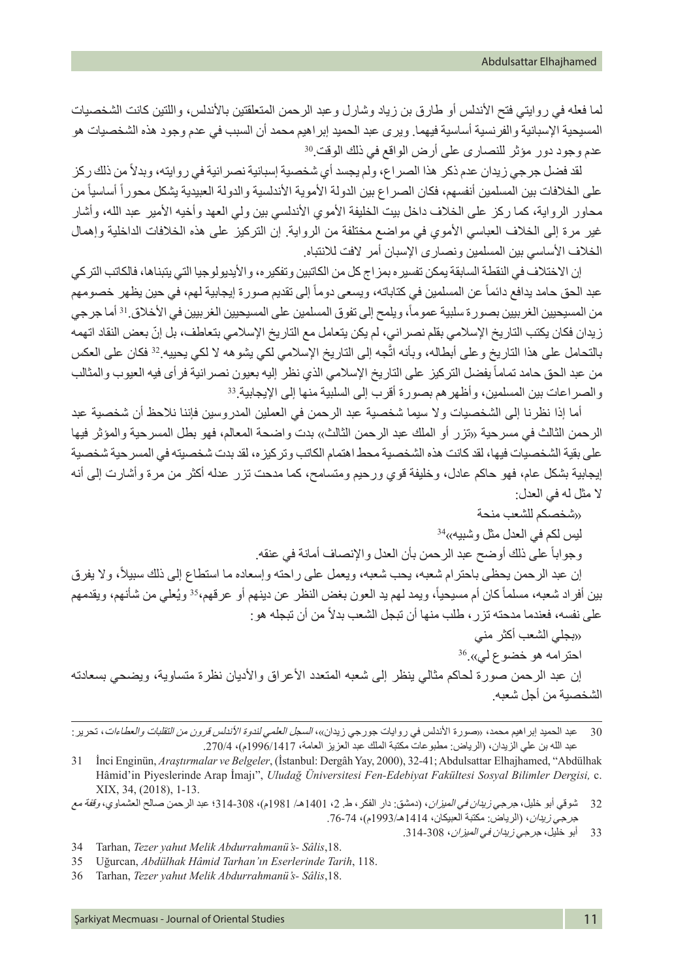لما فعله في روايتي فتح الأندلس أو طارق بن زياد وشارل وعبد الرحمن المتعلقتين بالأندلس، واللتين كانت الشخصيات المسيحية اإلسبانية والفرنسية أساسية فيهما. ويرى عبد الحميد إبراهيم محمد أن السبب في عدم وجود هذه الشخصيات هو عدم وجود دور مؤثر للنصارى على أرض الواقع في ذلك الوقت<sup>30</sup>.

لقد فضل جرجي زيدان عدم ذكر هذا الصراع، ولم يجسد أي شخصية إسبانية نصر انية في روايته، وبدلاً من ذلك ركز على الخلافات بين المسلمين أنفسهم، فكان الصراع بين الدولة الأموية الأندلسية والدولة العبيدية يشكل محوراً أساسياً من محاور الرواية، كما ركز على الخلاف داخل بيت الخليفة الأموي الأندلسي بين ولي العهد وأخيه الأمير عبد الله، وأشار غير مرة إلى الخلاف العباسي الأموي في مواضع مختلفة من الرواية. إن التركيز على هذه الخلافات الداخلية وإهمال الخلاف الأساسي بين المسلمين ونصارى الإسبان أمر الافت للانتباه.

إن الاختلاف في النقطة السابقة يمكن تفسيره بمزاج كل من الكاتبين وتفكيره، والأيديولوجيا التي يتبناها، فالكاتب التركي عبد الحق حامد يدافع دائماً عن المسلمين في كتاباته، ويسعى دوماً إلى تقديم صورة إيجابية لمه، في حين يظهر خصومهم من المسيحيين الغربيين بصور ة سلبية عموماً، ويلمح إلى تفوق المسلمين على المسيحيين الغرببين في الأخلاق ا<sup>3</sup> أما جرجي زيدان فكان يكتب التاريخ الإسلامي بقلم نصر اني، لم يكن يتعامل مع التاريخ الإسلامي بتعاطف، بل إنّ بعض النقاد اتهمه بالتحامل على هذا التاريخ و على أبطاله، وبأنه اتّجه إلى التاريخ الإسلامي لكي يشوهه لا لكي يحييه 32 فكان على العكس من عبد الحق حامد تماماً يفضل التركيز على التاريخ الإسلامي الذي نظر إليه بعيون نصر انية فر أي فيه العيوب والمثالب والصراعات بين المسلمين، وأظهر هم بصورة أقرب إلى السلبية منها إلى الإيجابية<sup>33</sup>.

أما إذا نظرنا إلى الشخصيات وال سيما شخصية عبد الرحمن في العملين المدروسين فإننا نالحظ أن شخصية عبد الرحمن الثالث في مسرحية «تزر أو الملك عبد الرحمن الثالث» بدت واضحة المعالم، فهو بطل المسرحية والمؤثر فيها على بقية الشخصيات فيها، لقد كانت هذه الشخصية محط اهتمام الكاتب وتركيزه، لقد بدت شخصيته في المسرحية شخصية إيجابية بشكل عام، فهو حاكم عادل، وخليفة قوي ورحيم ومتسامح، كما مدحت تزر عدله أكثر من مرة وأشارت إلى أنه ال مثل له في العدل:

»شخصكم للشعب منحة ليس لكم في العدل مثل و شبيه»<sup>34</sup> وجواباً على ذلك أوضح عبد الرحمن بأن العدل والإنصاف أمانة في عنقه. إن عبد الرحمن يحظى باحترام شعبه، يحب شعبه، ويعمل على راحته وإسعاده ما استطاع إلى ذلك سبيلاً، ولا يفرق بين أفراد شعبه، مسلماً كان أم مسيحياً، ويمد لهم يد العون بغض النظر عن دينهم أو عرقهم،35 ويُعلي من شأنهم، ويقدمهم على نفسه، فعندما مدحته تزر ، طلب منها أن تبجل الشعب بدلاً من أن تبجله هو :

»بجلي الشعب أكثر مني

 $^{36}$ احترامه هو خضوع لي».

إن عبد الرحمن صورة لحاكم مثالي ينظر إلى شعبه المتعدد الأعراق والأديان نظرة متساوية، ويضحي بسعادته الشخصية من أجل شعبه.

عبد الحميد إبراهيم محمد، «صورة الأندلس في روايات جورجي زيدان»، *السجل العلمي لندوة الأندلس قرون من التقلبات والعطاءات*، تحرير : عبد الله بن علي الزيدان، (الرياض: مطبوعات مكتبة الملك عبد العزيز العامة، 1996/1417م)، 270/4.

32 شوقي أبو خليل، جرج*ي زيدان في الميزان*، (دمشق: دار الفكر، ط. 2، 1401هـ/ 1981م)، 308-131؛ عبد الرحمن صالح العشماوي، *وقفة مع* جرجي زيدان، (الرياض: مكتبة العبيكان، 1414هـ/1993م)، 74-76.

33 أبو خليل، جرجي *زيدان في الميزان*، 308-314.

34 Tarhan, *Tezer yahut Melik Abdurrahmanü's- Sâlis*,18.

35 Uğurcan, *Abdülhak Hâmid Tarhan'ın Eserlerinde Tarih*, 118.

36 Tarhan, *Tezer yahut Melik Abdurrahmanü's- Sâlis*,18.

Şarkiyat Mecmuası - Journal of Oriental Studies 11

<sup>31</sup> İnci Enginün, *Araştırmalar ve Belgeler*, (İstanbul: Dergâh Yay, 2000), 32-41; Abdulsattar Elhajhamed, "Abdülhak Hâmid'in Piyeslerinde Arap İmajı", *Uludağ Üniversitesi Fen-Edebiyat Fakültesi Sosyal Bilimler Dergisi,* c. XIX, 34, (2018), 1-13.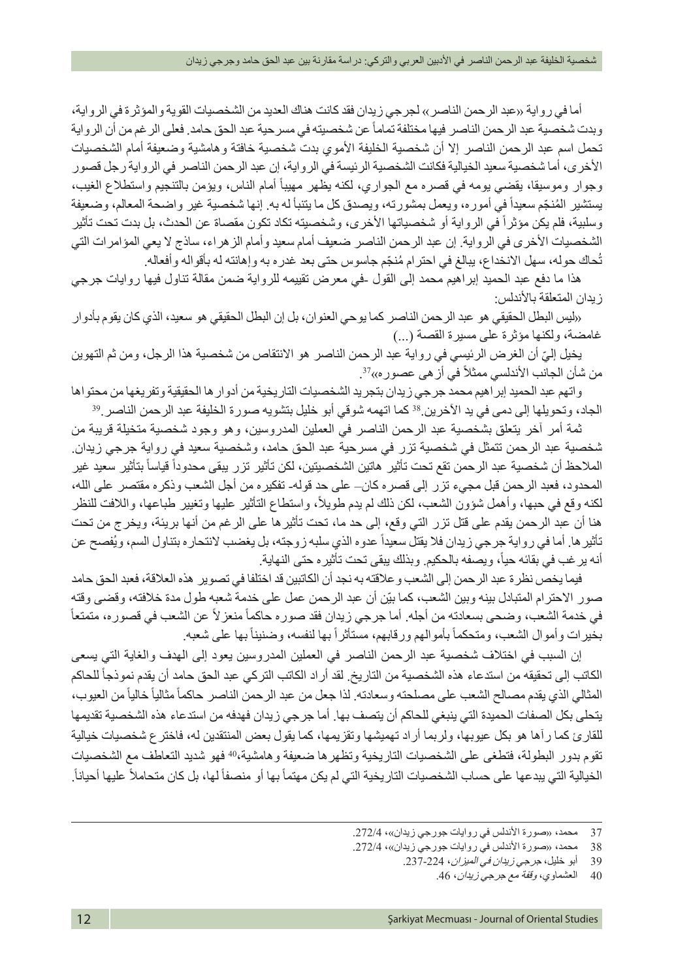أما في رواية «عبد الرحمن الناصر» لجرجي زيدان فقد كانت هناك العديد من الشخصيات القوية والمؤثرة في الرواية، وبدت شخصية عبد الرحمن الناصر فيها مختلفة تماماً عن شخصيته في مسرحية عبد الحق حامد. فعلى الرغم من أن الرواية تحمل اسم عبد الرحمن الناصر إلا أن شخصية الخليفة الأموي بدت شخصية خافتة وهامشية وضعيفة أمام الشخصيات األخرى، أما شخصية سعيد الخيالية فكانت الشخصية الرئيسة في الرواية، إن عبد الرحمن الناصر في الرواية رجل قصور وجوار وموسيقا، يقضي يومه في قصره مع الجواري، لكنه يظهر مهيباً أمام الناس، ويؤمن بالتنجيم واستطلاع الغيب، يستشير المُنجّم سعيداً في أموره، ويعمل بمشورته، ويصدق كل ما يتنبأ له به. إنها شخصية غير واضحة المعالم، وضعيفة وسلبية، فلم يكن مؤثراً في الرواية أو شخصياتها الأخرى، وشخصيته تكاد تكون مقصاة عن الحدث، بل بدت تحت تأثير الشخصيات الأخرى في الرواية. إن عبد الرحمن الناصر ضعيف أمام سعيد وأمام الزهراء، ساذج لا يعي المؤامرات التي تُحاك حوله، سهل الانخداع، ببالغ في احترام مُنجَم جاسوس حتى بعد غدره به وإهانته له بأقواله وأفعاله.

هذا ما دفع عبد الحميد إبراهيم محمد إلى القول -في معرض تقييمه للرواية ضمن مقالة تناول فيها روايات جرجي ز بدان المتعلقة بالأندلس:

»ليس البطل الحقيقي هو عبد الرحمن الناصر كما يوحي العنوان، بل إن البطل الحقيقي هو سعيد، الذي كان يقوم بأدوار غامضة، ولكنها مؤثرة على مسيرة القصة (...)

ّ يخيل إلي أن الغرض الرئيسي في رواية عبد الرحمن الناصر هو االنتقاص من شخصية هذا الرجل، ومن ثم التهوين من شأن الجانب الأندلسي ممثلاً في أز هي عصور ه»<sup>37</sup>.

واتهم عبد الحميد إبر اهيم محمد جرجي زيدان بتجريد الشخصيات التاريخية من أدوار ها الحقيقية وتفريغها من محتواها<br>الجاد، وتحويلها إلى دمي في يد الآخرين.<sup>38</sup> كما اتهمه شوقي أبو خليل بتشويه صورة الخليفة عبد الرحمن الناصر<sub>.</sub>39

ثمة أمر آخر يتعلق بشخصية عبد الرحمن الناصر في العملين المدروسين، وهو وجود شخصية متخيلة قريبة من شخصية عبد الرحمن تتمثل في شخصية تزر في مسرحية عبد الحق حامد، وشخصية سعيد في رواية جرجي زيدان. الملاحظ أن شخصية عبد الرحمن تقع تحت تأثير هاتين الشخصيتين، لكن تأثير تزر يبقى محدوداً قياساً بتأثير سعيد غير المحدود، فعبد الرحمن قبل مجيء تزر إلى قصره كان– على حد قوله- تفكيره من أجل الشعب وذكره مقتصر على الله، لكنه وقع في حبها، وأهمل شؤون الشعب، لكن ذلك لم يدم طويلاً، واستطاع التأثير عليها وتغيير طباعها، واللافت للنظر هنا أن عبد الرحمن يقدم على قتل تزر التي وقع، إلى حد ما، تحت تأثيرها على الرغم من أنها بريئة، ويخرج من تحت تأثير ها. أما في رواية جرجي زيدان فلا يقتل سعيداً عدوه الذي سلبه زوجته، بل يغضب لانتحاره بتناول السم، ويُفصح عن انه ير غب في بقائه حياً، ويصفه بالحكيم. وبذلك يبقى تحت تأثيره حتى النهاية.

فيما يخص نظرة عبد الرحمن إلى الشعب وعالقته به نجد أن الكاتبين قد اختلفا في تصوير هذه العالقة، فعبد الحق حامد صور الاحترام المتبادل بينه وبين الشعب، كما بيّن أن عبد الرحمن عمل على خدمة شعبه طول مدة خلافته، وقضى وقته ً في خدمة الشعب، وضحى بسعادته من أجله. أما جرجي زيدان فقد صوره حاكماً منعز لأ عن الشعب في قصوره، منمتعاً بخيرات وأموال الشعب، ومتحكماً بأموالهم ورقابهم، مستأثراً بها لنفسه، وضنيناً بها على شعبه.

إن السبب في اختالف شخصية عبد الرحمن الناصر في العملين المدروسين يعود إلى الهدف والغاية التي يسعى الكاتب إلى تحقيقه من استدعاء هذه الشخصية من التاريخ. لقد أراد الكاتب التركي عبد الحق حامد أن يقدم نموذجاً للحاكم المثالي الذي يقدم مصالح الشعب على مصلحته وسعادته. لذا جعل من عبد الرحمن الناصر حاكماً مثالياً خالياً من العيوب، يتحلى بكل الصفات الحميدة التي ينبغي للحاكم أن يتصف بها. أما جرجي زيدان فهدفه من استدعاء هذه الشخصية تقديمها للقارئ كما رآها هو بكل عيوبها، ولربما أراد تهميشها وتقزيمها، كما يقول بعض المنتقدين له، فاخترع شخصيات خيالية تقوم بدور البطولة، فتطغى على الشخصيات التاريخية وتظهرها ضعيفة وهامشية40، فهو شديد التعاطف مع الشخصيات الخيالية التي يبدعها على حساب الشخصيات التاريخية التي لم يكن مهتماً بها أو منصفاً لها، بل كان متحاملاً عليها أحياناً.

<sup>37</sup> محمد، «صورة الأندلس في روايات جورجي زيدان»، 272/4.

<sup>38</sup> محمد، «صورة الأندلس في روايات جورجي زيدان»، 272/4.

<sup>39</sup> أبو خليل، جرج*ي زيدان في الميز ان*، 224-237.

<sup>40</sup> العشماوي، *وقفة مع جرجي زيدان*، 46.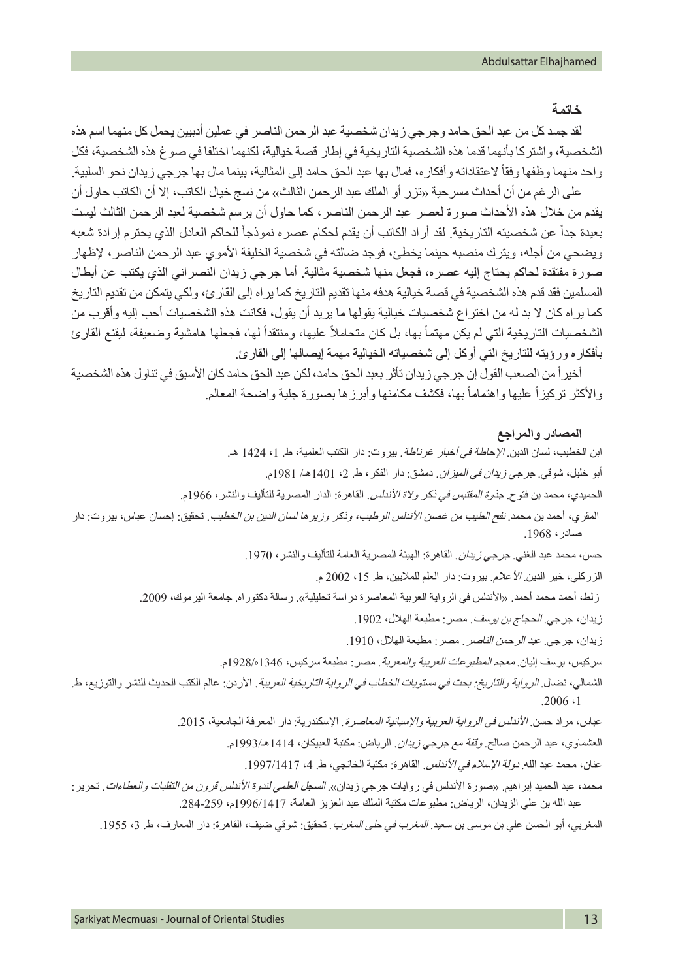#### **خاتمة**

لقد جسد كل من عبد الحق حامد وجرجي زيدان شخصية عبد الرحمن الناصر في عملين أدبيين يحمل كل منهما اسم هذه الشخصية، واشتركا بأنهما قدما هذه الشخصية التاريخية في إطار قصة خيالية، لكنهما اختلفا في صوغ هذه الشخصية، فكل واحد منهما وظفها وفقاً لاعتقاداته وأفكاره، فمال بها عبد الحق حامد إلى المثالية، بينما مال بها جرجي زيدان نحو السلبية.

على الرغم من أن أحداث مسر حية «تزر أو الملك عبد الرحمن الثالث» من نسج خيال الكاتب، إلا أن الكاتب حاول أن يقدم من خلال هذه الأحداث صورة لعصر عبد الرحمن الناصر، كما حاول أن يرسم شخصية لعبد الرحمن الثالث ليست بعيدة جداً عن شخصيته التاريخية. لقد أراد الكاتب أن يقدم لحكام عصره نموذجاً للحاكم العادل الذي يحترم إرادة شعبه ويضحي من أجله، ويترك منصبه حينما يخطئ، فوجد ضالته في شخصية الخليفة األموي عبد الرحمن الناصر، إلظهار صورة مفتقدة لحاكم يحتاج إليه عصره، فجعل منها شخصية مثالية. أما جرجي زيدان النصراني الذي يكتب عن أبطال المسلمين فقد قدم هذه الشخصية في قصة خيالية هدفه منها تقديم التاريخ كما يراه إلى القارئ، ولكي يتمكن من تقديم التاريخ كما يراه كان ال بد له من اختراع شخصيات خيالية يقولها ما يريد أن يقول، فكانت هذه الشخصيات أحب إليه وأقرب من الشخصيات التاريخية التي لم يكن مهتماً بها، بل كان متحاملاً عليها، ومنتقداً لها، فجعلها هامشية وضعيفة، ليقنع القارئ بأفكاره ورؤيته للتاريخ التي أوكل إلى شخصياته الخيالية مهمة إيصالها إلى القارئ.

أخير اً من الصعب القول إن جر جي زيدان تأثر بعبد الحق حامد، لكن عبد الحق حامد كان الأسبق في تناول هذه الشخصية والأكثر تركيزأ عليها واهتمامأ بها، فكشف مكامنها وأبرزها بصورة جلية واضحة المعالم.

#### **المصادر والمراجع**

ابن الخطيب، لسان الدين. *الإحاطة في أخبار غرناطة*. بيروت: دار الكتب العلمية، ط. 1، 1424 هـ. أبو خليل، شوقي. جرجي *زيدان في الميزان.* دمشق: دار الفكر ، ط. 2، 1401هـ/ 1981م. الحميدي، محمد بن فتوح. جذ*وة المقتبس في ذكر ولاة الأندلس*. القاهرة: الدار المصرية للتأليف والنشر، 1966م. المقري، أحمد بن محمد. *نفح الطيب من غصن الأندلس الر*ط*يب، وذكر وزيرها لسان الدين بن الخطيب*. تحقيق: إحسان عباس، بيروت: دار صادر، .1968 حسن، محمد عبد الغني<sub>،</sub> ج*رجي زيدان* القاهرة: الهيئة المصرية العامة للتأليف والنشر، 1970. الزركلي، خير الدين الأعلام. بيروت: دار العلم للملايين، ط. 15، 2002 م. زلط، أحمد محمد أحمد. «الأندلس في الرواية العربية المعاصرة دراسة تحليلية». رسالة دكتوراه. جامعة اليرموك، 2009. زيدان، جرجي. *الحجاج بن يوسف*. مصر: مطبعة الهلال، 1902. زيدان، جرجي. عبد *الرحمن الناصر*. مصر: مطبعة الهلال، 1910. سركيس، يوسف إليان. معجم المطبوعات العربية والمعربة. مصر: مطبعة سركيس، 1346ه1928/م. الشمالي، نضال. الرواية والتاريخ: بحث في مستويات الخطاب في الرواية التاريخية العربية. األردن: عالم الكتب الحديث للنشر والتوزيع، ط.  $.2006 \cdot 1$ عباس، مراد حسن. *الأندلس في الرواية العربية والإسبانية المعاصرة*. الإسكندرية: دار المعرفة الجامعية، 2015. العشماوي، عبد الرحمن صالح. وقفة مع جرجي زيدان. الرياض: مكتبة العبيكان، 1414هـ1993/م. عنان، محمد عبد الله. *دولة الإسلام في الأندلس*. القاهرة: مكتبة الخانجي، ط. 4، 1997/1417. محمد، عبد الحميد إبراهيم. «صورة الأندلس في روايات جرجي زيدان». *السجل العلمي لندوة الأندلس قرون من التقلبات والعطاءات*. تحرير : عبد الله بن علي الزيدان، الرياض: مطبو عات مكتبة الملك عبد العزيز العامة، 1996/1417م، 259-284.

المغربي، أبو الحسن علي بن موسى بن سعيد. المغرب في حلى المغرب*.* تحقيق: شوقي ضيف، القاهرة: دار المعارف، ط. ،3 .1955